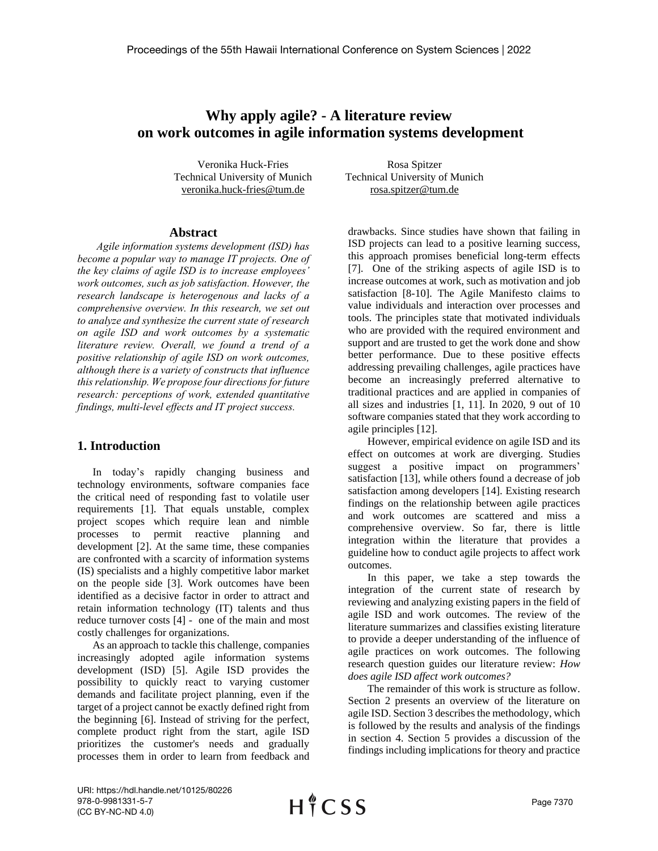# **Why apply agile? - A literature review on work outcomes in agile information systems development**

Veronika Huck-Fries Technical University of Munich veronika.huck-fries@tum.de

#### **Abstract**

*Agile information systems development (ISD) has become a popular way to manage IT projects. One of the key claims of agile ISD is to increase employees' work outcomes, such as job satisfaction. However, the research landscape is heterogenous and lacks of a comprehensive overview. In this research, we set out to analyze and synthesize the current state of research on agile ISD and work outcomes by a systematic literature review. Overall, we found a trend of a positive relationship of agile ISD on work outcomes, although there is a variety of constructs that influence this relationship. We propose four directions for future research: perceptions of work, extended quantitative findings, multi-level effects and IT project success.*

## **1. Introduction**

In today's rapidly changing business and technology environments, software companies face the critical need of responding fast to volatile user requirements [1]. That equals unstable, complex project scopes which require lean and nimble processes to permit reactive planning and development [2]. At the same time, these companies are confronted with a scarcity of information systems (IS) specialists and a highly competitive labor market on the people side [3]. Work outcomes have been identified as a decisive factor in order to attract and retain information technology (IT) talents and thus reduce turnover costs [4] - one of the main and most costly challenges for organizations.

As an approach to tackle this challenge, companies increasingly adopted agile information systems development (ISD) [5]. Agile ISD provides the possibility to quickly react to varying customer demands and facilitate project planning, even if the target of a project cannot be exactly defined right from the beginning [6]. Instead of striving for the perfect, complete product right from the start, agile ISD prioritizes the customer's needs and gradually processes them in order to learn from feedback and

Rosa Spitzer Technical University of Munich rosa.spitzer@tum.de

drawbacks. Since studies have shown that failing in ISD projects can lead to a positive learning success, this approach promises beneficial long-term effects [7]. One of the striking aspects of agile ISD is to increase outcomes at work, such as motivation and job satisfaction [8-10]. The Agile Manifesto claims to value individuals and interaction over processes and tools. The principles state that motivated individuals who are provided with the required environment and support and are trusted to get the work done and show better performance. Due to these positive effects addressing prevailing challenges, agile practices have become an increasingly preferred alternative to traditional practices and are applied in companies of all sizes and industries [1, 11]. In 2020, 9 out of 10 software companies stated that they work according to agile principles [12].

However, empirical evidence on agile ISD and its effect on outcomes at work are diverging. Studies suggest a positive impact on programmers' satisfaction [13], while others found a decrease of job satisfaction among developers [14]. Existing research findings on the relationship between agile practices and work outcomes are scattered and miss a comprehensive overview. So far, there is little integration within the literature that provides a guideline how to conduct agile projects to affect work outcomes.

In this paper, we take a step towards the integration of the current state of research by reviewing and analyzing existing papers in the field of agile ISD and work outcomes. The review of the literature summarizes and classifies existing literature to provide a deeper understanding of the influence of agile practices on work outcomes. The following research question guides our literature review: *How does agile ISD affect work outcomes?*

The remainder of this work is structure as follow. Section 2 presents an overview of the literature on agile ISD. Section 3 describes the methodology, which is followed by the results and analysis of the findings in section 4. Section 5 provides a discussion of the findings including implications for theory and practice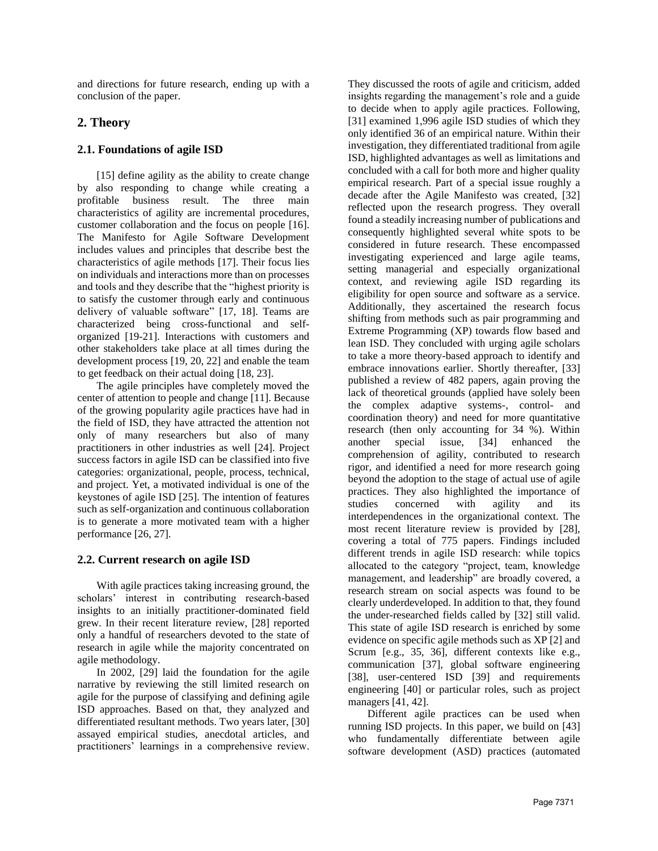and directions for future research, ending up with a conclusion of the paper.

## **2. Theory**

## **2.1. Foundations of agile ISD**

[15] define agility as the ability to create change by also responding to change while creating a profitable business result. The three main characteristics of agility are incremental procedures, customer collaboration and the focus on people [16]. The Manifesto for Agile Software Development includes values and principles that describe best the characteristics of agile methods [17]. Their focus lies on individuals and interactions more than on processes and tools and they describe that the "highest priority is to satisfy the customer through early and continuous delivery of valuable software" [17, 18]. Teams are characterized being cross-functional and selforganized [19-21]. Interactions with customers and other stakeholders take place at all times during the development process [19, 20, 22] and enable the team to get feedback on their actual doing [18, 23].

The agile principles have completely moved the center of attention to people and change [11]. Because of the growing popularity agile practices have had in the field of ISD, they have attracted the attention not only of many researchers but also of many practitioners in other industries as well [24]. Project success factors in agile ISD can be classified into five categories: organizational, people, process, technical, and project. Yet, a motivated individual is one of the keystones of agile ISD [25]. The intention of features such as self-organization and continuous collaboration is to generate a more motivated team with a higher performance [26, 27].

## **2.2. Current research on agile ISD**

With agile practices taking increasing ground, the scholars' interest in contributing research-based insights to an initially practitioner-dominated field grew. In their recent literature review, [28] reported only a handful of researchers devoted to the state of research in agile while the majority concentrated on agile methodology.

In 2002, [29] laid the foundation for the agile narrative by reviewing the still limited research on agile for the purpose of classifying and defining agile ISD approaches. Based on that, they analyzed and differentiated resultant methods. Two years later, [30] assayed empirical studies, anecdotal articles, and practitioners' learnings in a comprehensive review. They discussed the roots of agile and criticism, added insights regarding the management's role and a guide to decide when to apply agile practices. Following, [31] examined 1,996 agile ISD studies of which they only identified 36 of an empirical nature. Within their investigation, they differentiated traditional from agile ISD, highlighted advantages as well as limitations and concluded with a call for both more and higher quality empirical research. Part of a special issue roughly a decade after the Agile Manifesto was created, [32] reflected upon the research progress. They overall found a steadily increasing number of publications and consequently highlighted several white spots to be considered in future research. These encompassed investigating experienced and large agile teams, setting managerial and especially organizational context, and reviewing agile ISD regarding its eligibility for open source and software as a service. Additionally, they ascertained the research focus shifting from methods such as pair programming and Extreme Programming (XP) towards flow based and lean ISD. They concluded with urging agile scholars to take a more theory-based approach to identify and embrace innovations earlier. Shortly thereafter, [33] published a review of 482 papers, again proving the lack of theoretical grounds (applied have solely been the complex adaptive systems-, control- and coordination theory) and need for more quantitative research (then only accounting for 34 %). Within another special issue, [34] enhanced the comprehension of agility, contributed to research rigor, and identified a need for more research going beyond the adoption to the stage of actual use of agile practices. They also highlighted the importance of studies concerned with agility and its interdependences in the organizational context. The most recent literature review is provided by [28], covering a total of 775 papers. Findings included different trends in agile ISD research: while topics allocated to the category "project, team, knowledge management, and leadership" are broadly covered, a research stream on social aspects was found to be clearly underdeveloped. In addition to that, they found the under-researched fields called by [32] still valid. This state of agile ISD research is enriched by some evidence on specific agile methods such as XP [2] and Scrum [e.g., 35, 36], different contexts like e.g., communication [37], global software engineering [38], user-centered ISD [39] and requirements engineering [40] or particular roles, such as project managers [41, 42].

Different agile practices can be used when running ISD projects. In this paper, we build on [43] who fundamentally differentiate between agile software development (ASD) practices (automated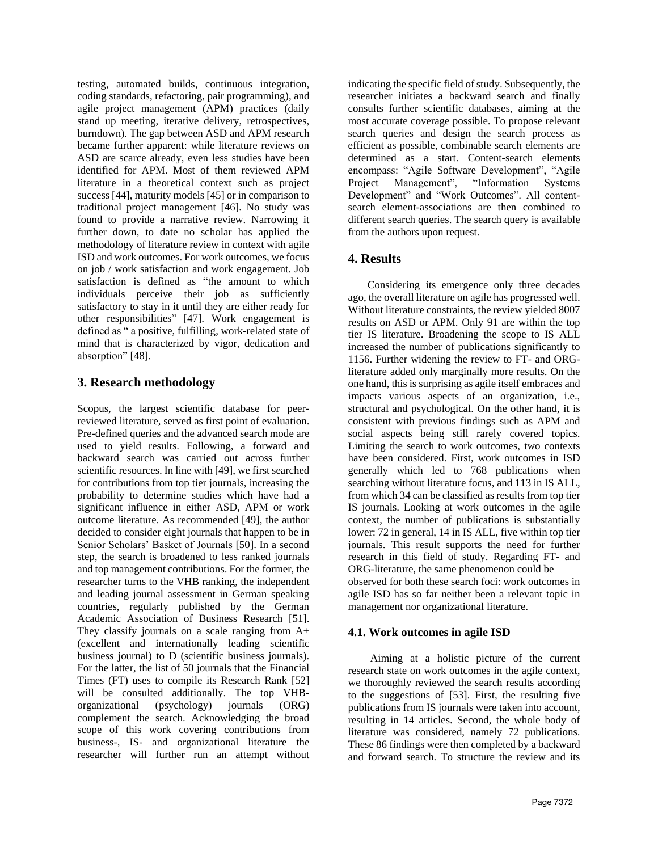testing, automated builds, continuous integration, coding standards, refactoring, pair programming), and agile project management (APM) practices (daily stand up meeting, iterative delivery, retrospectives, burndown). The gap between ASD and APM research became further apparent: while literature reviews on ASD are scarce already, even less studies have been identified for APM. Most of them reviewed APM literature in a theoretical context such as project success [44], maturity models [45] or in comparison to traditional project management [46]. No study was found to provide a narrative review. Narrowing it further down, to date no scholar has applied the methodology of literature review in context with agile ISD and work outcomes. For work outcomes, we focus on job / work satisfaction and work engagement. Job satisfaction is defined as "the amount to which individuals perceive their job as sufficiently satisfactory to stay in it until they are either ready for other responsibilities" [47]. Work engagement is defined as " a positive, fulfilling, work-related state of mind that is characterized by vigor, dedication and absorption" [48].

## **3. Research methodology**

Scopus, the largest scientific database for peerreviewed literature, served as first point of evaluation. Pre-defined queries and the advanced search mode are used to yield results. Following, a forward and backward search was carried out across further scientific resources. In line with [49], we first searched for contributions from top tier journals, increasing the probability to determine studies which have had a significant influence in either ASD, APM or work outcome literature. As recommended [49], the author decided to consider eight journals that happen to be in Senior Scholars' Basket of Journals [50]. In a second step, the search is broadened to less ranked journals and top management contributions. For the former, the researcher turns to the VHB ranking, the independent and leading journal assessment in German speaking countries, regularly published by the German Academic Association of Business Research [51]. They classify journals on a scale ranging from A+ (excellent and internationally leading scientific business journal) to D (scientific business journals). For the latter, the list of 50 journals that the Financial Times (FT) uses to compile its Research Rank [52] will be consulted additionally. The top VHBorganizational (psychology) journals (ORG) complement the search. Acknowledging the broad scope of this work covering contributions from business-, IS- and organizational literature the researcher will further run an attempt without

indicating the specific field of study. Subsequently, the researcher initiates a backward search and finally consults further scientific databases, aiming at the most accurate coverage possible. To propose relevant search queries and design the search process as efficient as possible, combinable search elements are determined as a start. Content-search elements encompass: "Agile Software Development", "Agile<br>Project Management", "Information Systems Project Management", "Information Development" and "Work Outcomes". All contentsearch element-associations are then combined to different search queries. The search query is available from the authors upon request.

## **4. Results**

Considering its emergence only three decades ago, the overall literature on agile has progressed well. Without literature constraints, the review yielded 8007 results on ASD or APM. Only 91 are within the top tier IS literature. Broadening the scope to IS ALL increased the number of publications significantly to 1156. Further widening the review to FT- and ORGliterature added only marginally more results. On the one hand, this is surprising as agile itself embraces and impacts various aspects of an organization, i.e., structural and psychological. On the other hand, it is consistent with previous findings such as APM and social aspects being still rarely covered topics. Limiting the search to work outcomes, two contexts have been considered. First, work outcomes in ISD generally which led to 768 publications when searching without literature focus, and 113 in IS ALL, from which 34 can be classified as results from top tier IS journals. Looking at work outcomes in the agile context, the number of publications is substantially lower: 72 in general, 14 in IS ALL, five within top tier journals. This result supports the need for further research in this field of study. Regarding FT- and ORG-literature, the same phenomenon could be observed for both these search foci: work outcomes in agile ISD has so far neither been a relevant topic in management nor organizational literature.

## **4.1. Work outcomes in agile ISD**

Aiming at a holistic picture of the current research state on work outcomes in the agile context, we thoroughly reviewed the search results according to the suggestions of [53]. First, the resulting five publications from IS journals were taken into account, resulting in 14 articles. Second, the whole body of literature was considered, namely 72 publications. These 86 findings were then completed by a backward and forward search. To structure the review and its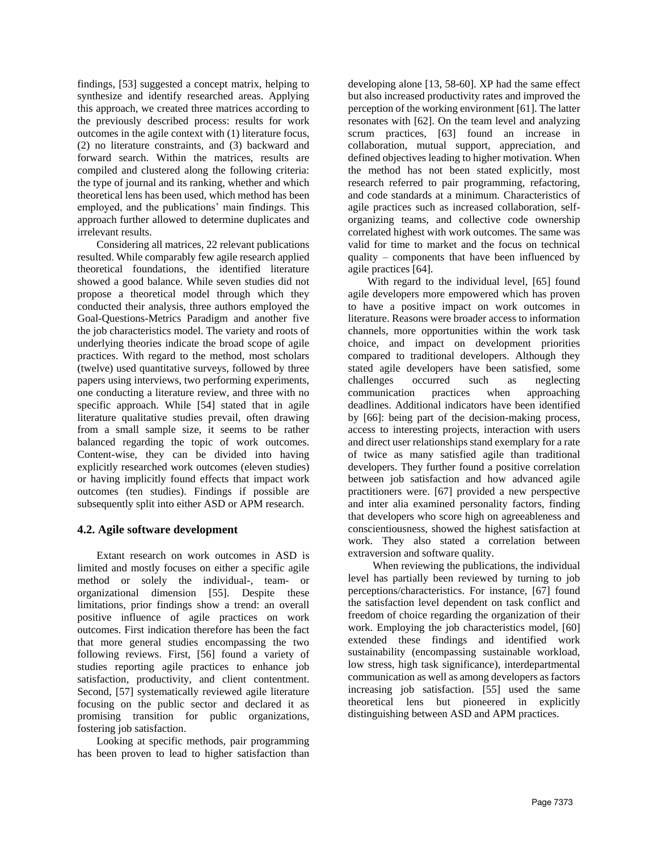findings, [53] suggested a concept matrix, helping to synthesize and identify researched areas. Applying this approach, we created three matrices according to the previously described process: results for work outcomes in the agile context with (1) literature focus, (2) no literature constraints, and (3) backward and forward search. Within the matrices, results are compiled and clustered along the following criteria: the type of journal and its ranking, whether and which theoretical lens has been used, which method has been employed, and the publications' main findings. This approach further allowed to determine duplicates and irrelevant results.

Considering all matrices, 22 relevant publications resulted. While comparably few agile research applied theoretical foundations, the identified literature showed a good balance. While seven studies did not propose a theoretical model through which they conducted their analysis, three authors employed the Goal-Questions-Metrics Paradigm and another five the job characteristics model. The variety and roots of underlying theories indicate the broad scope of agile practices. With regard to the method, most scholars (twelve) used quantitative surveys, followed by three papers using interviews, two performing experiments, one conducting a literature review, and three with no specific approach. While [54] stated that in agile literature qualitative studies prevail, often drawing from a small sample size, it seems to be rather balanced regarding the topic of work outcomes. Content-wise, they can be divided into having explicitly researched work outcomes (eleven studies) or having implicitly found effects that impact work outcomes (ten studies). Findings if possible are subsequently split into either ASD or APM research.

### **4.2. Agile software development**

Extant research on work outcomes in ASD is limited and mostly focuses on either a specific agile method or solely the individual-, team- or organizational dimension [55]. Despite these limitations, prior findings show a trend: an overall positive influence of agile practices on work outcomes. First indication therefore has been the fact that more general studies encompassing the two following reviews. First, [56] found a variety of studies reporting agile practices to enhance job satisfaction, productivity, and client contentment. Second, [57] systematically reviewed agile literature focusing on the public sector and declared it as promising transition for public organizations, fostering job satisfaction.

Looking at specific methods, pair programming has been proven to lead to higher satisfaction than developing alone [13, 58-60]. XP had the same effect but also increased productivity rates and improved the perception of the working environment [61]. The latter resonates with [62]. On the team level and analyzing scrum practices, [63] found an increase in collaboration, mutual support, appreciation, and defined objectives leading to higher motivation. When the method has not been stated explicitly, most research referred to pair programming, refactoring, and code standards at a minimum. Characteristics of agile practices such as increased collaboration, selforganizing teams, and collective code ownership correlated highest with work outcomes. The same was valid for time to market and the focus on technical quality – components that have been influenced by agile practices [64].

With regard to the individual level, [65] found agile developers more empowered which has proven to have a positive impact on work outcomes in literature. Reasons were broader access to information channels, more opportunities within the work task choice, and impact on development priorities compared to traditional developers. Although they stated agile developers have been satisfied, some challenges occurred such as neglecting communication practices when approaching deadlines. Additional indicators have been identified by [66]: being part of the decision-making process, access to interesting projects, interaction with users and direct user relationships stand exemplary for a rate of twice as many satisfied agile than traditional developers. They further found a positive correlation between job satisfaction and how advanced agile practitioners were. [67] provided a new perspective and inter alia examined personality factors, finding that developers who score high on agreeableness and conscientiousness, showed the highest satisfaction at work. They also stated a correlation between extraversion and software quality.

When reviewing the publications, the individual level has partially been reviewed by turning to job perceptions/characteristics. For instance, [67] found the satisfaction level dependent on task conflict and freedom of choice regarding the organization of their work. Employing the job characteristics model, [60] extended these findings and identified work sustainability (encompassing sustainable workload, low stress, high task significance), interdepartmental communication as well as among developers as factors increasing job satisfaction. [55] used the same theoretical lens but pioneered in explicitly distinguishing between ASD and APM practices.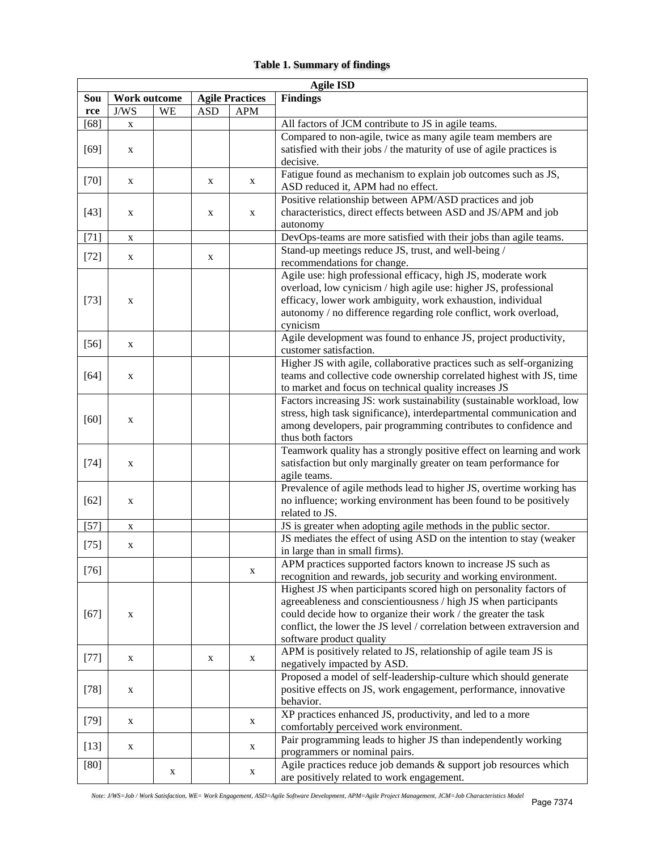## **Table 1. Summary of findings**

| <b>Agile ISD</b> |              |    |            |                        |                                                                         |
|------------------|--------------|----|------------|------------------------|-------------------------------------------------------------------------|
| Sou              | Work outcome |    |            | <b>Agile Practices</b> | <b>Findings</b>                                                         |
| rce              | $\rm J/WS$   | WE | <b>ASD</b> | <b>APM</b>             |                                                                         |
| $[68]$           | $\mathbf X$  |    |            |                        | All factors of JCM contribute to JS in agile teams.                     |
| $[69]$           | $\mathbf X$  |    |            |                        | Compared to non-agile, twice as many agile team members are             |
|                  |              |    |            |                        | satisfied with their jobs / the maturity of use of agile practices is   |
|                  |              |    |            |                        | decisive.                                                               |
| $[70]$           | X            |    | X          | X                      | Fatigue found as mechanism to explain job outcomes such as JS,          |
|                  |              |    |            |                        | ASD reduced it, APM had no effect.                                      |
| $[43]$           | X            |    |            |                        | Positive relationship between APM/ASD practices and job                 |
|                  |              |    | X          | $\mathbf X$            | characteristics, direct effects between ASD and JS/APM and job          |
|                  |              |    |            |                        | autonomy                                                                |
| $[71]$           | $\mathbf X$  |    |            |                        | DevOps-teams are more satisfied with their jobs than agile teams.       |
| $[72]$           | $\mathbf X$  |    | X          |                        | Stand-up meetings reduce JS, trust, and well-being /                    |
|                  |              |    |            |                        | recommendations for change.                                             |
| $[73]$           | $\mathbf X$  |    |            |                        | Agile use: high professional efficacy, high JS, moderate work           |
|                  |              |    |            |                        | overload, low cynicism / high agile use: higher JS, professional        |
|                  |              |    |            |                        | efficacy, lower work ambiguity, work exhaustion, individual             |
|                  |              |    |            |                        | autonomy / no difference regarding role conflict, work overload,        |
|                  |              |    |            |                        | cynicism                                                                |
| $[56]$           | X            |    |            |                        | Agile development was found to enhance JS, project productivity,        |
|                  |              |    |            |                        | customer satisfaction.                                                  |
| $[64]$           | X            |    |            |                        | Higher JS with agile, collaborative practices such as self-organizing   |
|                  |              |    |            |                        | teams and collective code ownership correlated highest with JS, time    |
|                  |              |    |            |                        | to market and focus on technical quality increases JS                   |
| $[60]$           | X            |    |            |                        | Factors increasing JS: work sustainability (sustainable workload, low   |
|                  |              |    |            |                        | stress, high task significance), interdepartmental communication and    |
|                  |              |    |            |                        | among developers, pair programming contributes to confidence and        |
|                  |              |    |            |                        | thus both factors                                                       |
| $[74]$           | $\mathbf X$  |    |            |                        | Teamwork quality has a strongly positive effect on learning and work    |
|                  |              |    |            |                        | satisfaction but only marginally greater on team performance for        |
|                  |              |    |            |                        | agile teams.                                                            |
|                  | X            |    |            |                        | Prevalence of agile methods lead to higher JS, overtime working has     |
| $[62]$           |              |    |            |                        | no influence; working environment has been found to be positively       |
|                  |              |    |            |                        | related to JS.                                                          |
| $[57]$           | $\mathbf X$  |    |            |                        | JS is greater when adopting agile methods in the public sector.         |
| $[75]$           | $\mathbf X$  |    |            |                        | JS mediates the effect of using ASD on the intention to stay (weaker    |
|                  |              |    |            |                        | in large than in small firms).                                          |
| $[76]$           |              |    |            | X                      | APM practices supported factors known to increase JS such as            |
|                  |              |    |            |                        | recognition and rewards, job security and working environment.          |
| $[67]$           | X            |    |            |                        | Highest JS when participants scored high on personality factors of      |
|                  |              |    |            |                        | agreeableness and conscientiousness / high JS when participants         |
|                  |              |    |            |                        | could decide how to organize their work / the greater the task          |
|                  |              |    |            |                        | conflict, the lower the JS level / correlation between extraversion and |
|                  |              |    |            |                        | software product quality                                                |
| $[77]$           | X            |    | X          | X                      | APM is positively related to JS, relationship of agile team JS is       |
|                  |              |    |            |                        | negatively impacted by ASD.                                             |
| $[78]$           | X            |    |            |                        | Proposed a model of self-leadership-culture which should generate       |
|                  |              |    |            |                        | positive effects on JS, work engagement, performance, innovative        |
|                  |              |    |            |                        | behavior.                                                               |
| $[79]$           | X            |    |            | X                      | XP practices enhanced JS, productivity, and led to a more               |
|                  |              |    |            |                        | comfortably perceived work environment.                                 |
| $[13]$           | $\mathbf X$  |    |            | X                      | Pair programming leads to higher JS than independently working          |
|                  |              |    |            |                        | programmers or nominal pairs.                                           |
| [80]             |              | X  |            | X                      | Agile practices reduce job demands & support job resources which        |
|                  |              |    |            |                        | are positively related to work engagement.                              |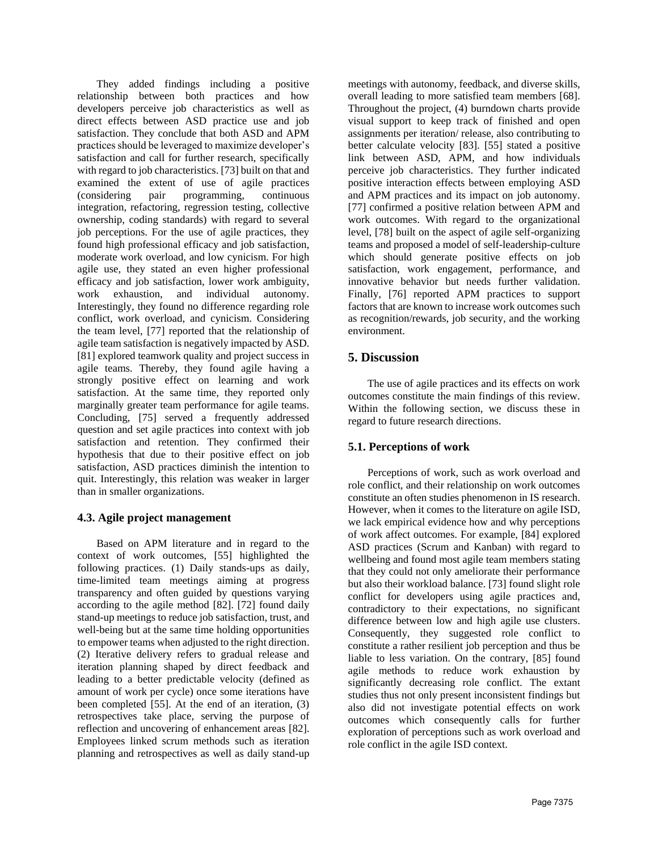They added findings including a positive relationship between both practices and how developers perceive job characteristics as well as direct effects between ASD practice use and job satisfaction. They conclude that both ASD and APM practices should be leveraged to maximize developer's satisfaction and call for further research, specifically with regard to job characteristics. [73] built on that and examined the extent of use of agile practices (considering pair programming, continuous integration, refactoring, regression testing, collective ownership, coding standards) with regard to several job perceptions. For the use of agile practices, they found high professional efficacy and job satisfaction, moderate work overload, and low cynicism. For high agile use, they stated an even higher professional efficacy and job satisfaction, lower work ambiguity, work exhaustion, and individual autonomy. Interestingly, they found no difference regarding role conflict, work overload, and cynicism. Considering the team level, [77] reported that the relationship of agile team satisfaction is negatively impacted by ASD. [81] explored teamwork quality and project success in agile teams. Thereby, they found agile having a strongly positive effect on learning and work satisfaction. At the same time, they reported only marginally greater team performance for agile teams. Concluding, [75] served a frequently addressed question and set agile practices into context with job satisfaction and retention. They confirmed their hypothesis that due to their positive effect on job satisfaction, ASD practices diminish the intention to quit. Interestingly, this relation was weaker in larger than in smaller organizations.

## **4.3. Agile project management**

Based on APM literature and in regard to the context of work outcomes, [55] highlighted the following practices. (1) Daily stands-ups as daily, time-limited team meetings aiming at progress transparency and often guided by questions varying according to the agile method [82]. [72] found daily stand-up meetings to reduce job satisfaction, trust, and well-being but at the same time holding opportunities to empower teams when adjusted to the right direction. (2) Iterative delivery refers to gradual release and iteration planning shaped by direct feedback and leading to a better predictable velocity (defined as amount of work per cycle) once some iterations have been completed [55]. At the end of an iteration, (3) retrospectives take place, serving the purpose of reflection and uncovering of enhancement areas [82]. Employees linked scrum methods such as iteration planning and retrospectives as well as daily stand-up meetings with autonomy, feedback, and diverse skills, overall leading to more satisfied team members [68]. Throughout the project, (4) burndown charts provide visual support to keep track of finished and open assignments per iteration/ release, also contributing to better calculate velocity [83]. [55] stated a positive link between ASD, APM, and how individuals perceive job characteristics. They further indicated positive interaction effects between employing ASD and APM practices and its impact on job autonomy. [77] confirmed a positive relation between APM and work outcomes. With regard to the organizational level, [78] built on the aspect of agile self-organizing teams and proposed a model of self-leadership-culture which should generate positive effects on job satisfaction, work engagement, performance, and innovative behavior but needs further validation. Finally, [76] reported APM practices to support factors that are known to increase work outcomes such as recognition/rewards, job security, and the working environment.

## **5. Discussion**

The use of agile practices and its effects on work outcomes constitute the main findings of this review. Within the following section, we discuss these in regard to future research directions.

## **5.1. Perceptions of work**

Perceptions of work, such as work overload and role conflict, and their relationship on work outcomes constitute an often studies phenomenon in IS research. However, when it comes to the literature on agile ISD, we lack empirical evidence how and why perceptions of work affect outcomes. For example, [84] explored ASD practices (Scrum and Kanban) with regard to wellbeing and found most agile team members stating that they could not only ameliorate their performance but also their workload balance. [73] found slight role conflict for developers using agile practices and, contradictory to their expectations, no significant difference between low and high agile use clusters. Consequently, they suggested role conflict to constitute a rather resilient job perception and thus be liable to less variation. On the contrary, [85] found agile methods to reduce work exhaustion by significantly decreasing role conflict. The extant studies thus not only present inconsistent findings but also did not investigate potential effects on work outcomes which consequently calls for further exploration of perceptions such as work overload and role conflict in the agile ISD context.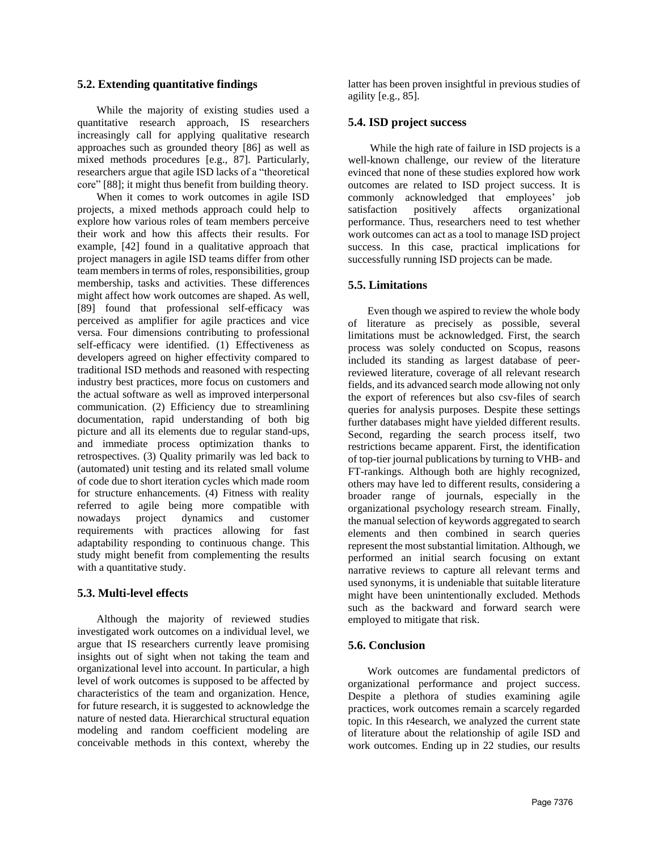### **5.2. Extending quantitative findings**

While the majority of existing studies used a quantitative research approach, IS researchers increasingly call for applying qualitative research approaches such as grounded theory [86] as well as mixed methods procedures [e.g., 87]. Particularly, researchers argue that agile ISD lacks of a "theoretical core" [88]; it might thus benefit from building theory.

When it comes to work outcomes in agile ISD projects, a mixed methods approach could help to explore how various roles of team members perceive their work and how this affects their results. For example, [42] found in a qualitative approach that project managers in agile ISD teams differ from other team members in terms of roles, responsibilities, group membership, tasks and activities. These differences might affect how work outcomes are shaped. As well, [89] found that professional self-efficacy was perceived as amplifier for agile practices and vice versa. Four dimensions contributing to professional self-efficacy were identified. (1) Effectiveness as developers agreed on higher effectivity compared to traditional ISD methods and reasoned with respecting industry best practices, more focus on customers and the actual software as well as improved interpersonal communication. (2) Efficiency due to streamlining documentation, rapid understanding of both big picture and all its elements due to regular stand-ups, and immediate process optimization thanks to retrospectives. (3) Quality primarily was led back to (automated) unit testing and its related small volume of code due to short iteration cycles which made room for structure enhancements. (4) Fitness with reality referred to agile being more compatible with nowadays project dynamics and customer requirements with practices allowing for fast adaptability responding to continuous change. This study might benefit from complementing the results with a quantitative study.

### **5.3. Multi-level effects**

Although the majority of reviewed studies investigated work outcomes on a individual level, we argue that IS researchers currently leave promising insights out of sight when not taking the team and organizational level into account. In particular, a high level of work outcomes is supposed to be affected by characteristics of the team and organization. Hence, for future research, it is suggested to acknowledge the nature of nested data. Hierarchical structural equation modeling and random coefficient modeling are conceivable methods in this context, whereby the

latter has been proven insightful in previous studies of agility [e.g., 85].

### **5.4. ISD project success**

While the high rate of failure in ISD projects is a well-known challenge, our review of the literature evinced that none of these studies explored how work outcomes are related to ISD project success. It is commonly acknowledged that employees' job satisfaction positively affects organizational performance. Thus, researchers need to test whether work outcomes can act as a tool to manage ISD project success. In this case, practical implications for successfully running ISD projects can be made.

#### **5.5. Limitations**

Even though we aspired to review the whole body of literature as precisely as possible, several limitations must be acknowledged. First, the search process was solely conducted on Scopus, reasons included its standing as largest database of peerreviewed literature, coverage of all relevant research fields, and its advanced search mode allowing not only the export of references but also csv-files of search queries for analysis purposes. Despite these settings further databases might have yielded different results. Second, regarding the search process itself, two restrictions became apparent. First, the identification of top-tier journal publications by turning to VHB- and FT-rankings. Although both are highly recognized, others may have led to different results, considering a broader range of journals, especially in the organizational psychology research stream. Finally, the manual selection of keywords aggregated to search elements and then combined in search queries represent the most substantial limitation. Although, we performed an initial search focusing on extant narrative reviews to capture all relevant terms and used synonyms, it is undeniable that suitable literature might have been unintentionally excluded. Methods such as the backward and forward search were employed to mitigate that risk.

#### **5.6. Conclusion**

Work outcomes are fundamental predictors of organizational performance and project success. Despite a plethora of studies examining agile practices, work outcomes remain a scarcely regarded topic. In this r4esearch, we analyzed the current state of literature about the relationship of agile ISD and work outcomes. Ending up in 22 studies, our results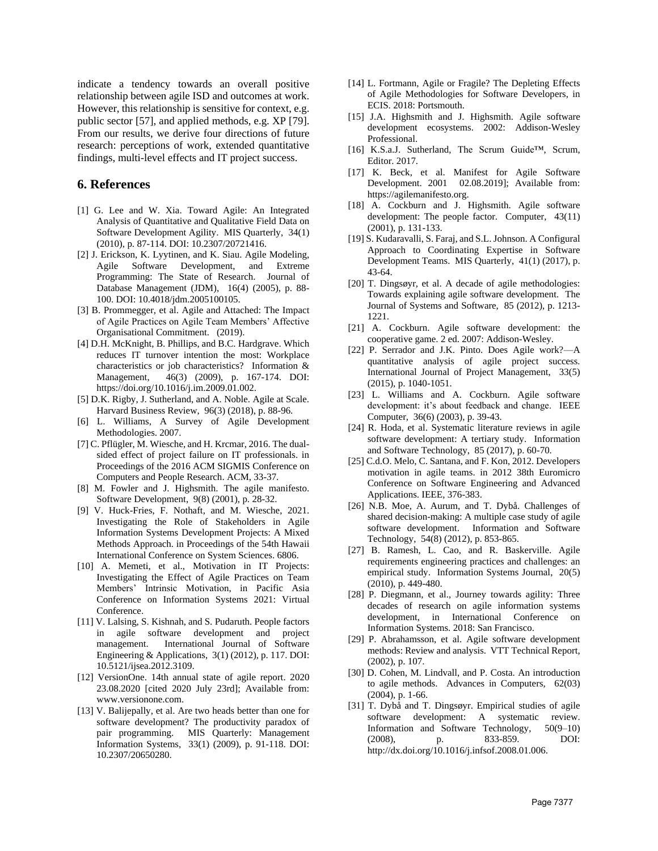indicate a tendency towards an overall positive relationship between agile ISD and outcomes at work. However, this relationship is sensitive for context, e.g. public sector [57], and applied methods, e.g. XP [79]. From our results, we derive four directions of future research: perceptions of work, extended quantitative findings, multi-level effects and IT project success.

### **6. References**

- [1] G. Lee and W. Xia. Toward Agile: An Integrated Analysis of Quantitative and Qualitative Field Data on Software Development Agility. MIS Quarterly, 34(1) (2010), p. 87-114. DOI: 10.2307/20721416.
- [2] J. Erickson, K. Lyytinen, and K. Siau. Agile Modeling, Agile Software Development, and Extreme Programming: The State of Research. Journal of Database Management (JDM), 16(4) (2005), p. 88- 100. DOI: 10.4018/jdm.2005100105.
- [3] B. Prommegger, et al. Agile and Attached: The Impact of Agile Practices on Agile Team Members' Affective Organisational Commitment. (2019).
- [4] D.H. McKnight, B. Phillips, and B.C. Hardgrave. Which reduces IT turnover intention the most: Workplace characteristics or job characteristics? Information & Management, 46(3) (2009), p. 167-174. DOI: [https://doi.org/10.1016/j.im.2009.01.002.](https://doi.org/10.1016/j.im.2009.01.002)
- [5] D.K. Rigby, J. Sutherland, and A. Noble. Agile at Scale. Harvard Business Review, 96(3) (2018), p. 88-96.
- [6] L. Williams, A Survey of Agile Development Methodologies. 2007.
- [7] C. Pflügler, M. Wiesche, and H. Krcmar, 2016. The dualsided effect of project failure on IT professionals. in Proceedings of the 2016 ACM SIGMIS Conference on Computers and People Research. ACM, 33-37.
- [8] M. Fowler and J. Highsmith. The agile manifesto. Software Development, 9(8) (2001), p. 28-32.
- [9] V. Huck-Fries, F. Nothaft, and M. Wiesche, 2021. Investigating the Role of Stakeholders in Agile Information Systems Development Projects: A Mixed Methods Approach. in Proceedings of the 54th Hawaii International Conference on System Sciences. 6806.
- [10] A. Memeti, et al., Motivation in IT Projects: Investigating the Effect of Agile Practices on Team Members' Intrinsic Motivation, in Pacific Asia Conference on Information Systems 2021: Virtual Conference.
- [11] V. Lalsing, S. Kishnah, and S. Pudaruth. People factors in agile software development and project management. International Journal of Software Engineering & Applications,  $3(1)$  (2012), p. 117. DOI: 10.5121/ijsea.2012.3109.
- [12] VersionOne. 14th annual state of agile report. 2020 23.08.2020 [cited 2020 July 23rd]; Available from: [www.versionone.com.](http://www.versionone.com/)
- [13] V. Balijepally, et al. Are two heads better than one for software development? The productivity paradox of pair programming. MIS Quarterly: Management Information Systems, 33(1) (2009), p. 91-118. DOI: 10.2307/20650280.
- [14] L. Fortmann, Agile or Fragile? The Depleting Effects of Agile Methodologies for Software Developers, in ECIS. 2018: Portsmouth.
- [15] J.A. Highsmith and J. Highsmith. Agile software development ecosystems. 2002: Addison-Wesley Professional.
- [16] K.S.a.J. Sutherland, The Scrum Guide™, Scrum, Editor. 2017.
- [17] K. Beck, et al. Manifest for Agile Software Development. 2001 02.08.2019]; Available from: [https://agilemanifesto.org.](https://agilemanifesto.org/)
- [18] A. Cockburn and J. Highsmith. Agile software development: The people factor. Computer, 43(11) (2001), p. 131-133.
- [19] S. Kudaravalli, S. Faraj, and S.L. Johnson. A Configural Approach to Coordinating Expertise in Software Development Teams. MIS Quarterly, 41(1) (2017), p. 43-64.
- [20] T. Dingsøyr, et al. A decade of agile methodologies: Towards explaining agile software development. The Journal of Systems and Software, 85 (2012), p. 1213- 1221.
- [21] A. Cockburn. Agile software development: the cooperative game. 2 ed. 2007: Addison-Wesley.
- [22] P. Serrador and J.K. Pinto. Does Agile work?—A quantitative analysis of agile project success. International Journal of Project Management, 33(5) (2015), p. 1040-1051.
- [23] L. Williams and A. Cockburn. Agile software development: it's about feedback and change. IEEE Computer, 36(6) (2003), p. 39-43.
- [24] R. Hoda, et al. Systematic literature reviews in agile software development: A tertiary study. Information and Software Technology, 85 (2017), p. 60-70.
- [25] C.d.O. Melo, C. Santana, and F. Kon, 2012. Developers motivation in agile teams. in 2012 38th Euromicro Conference on Software Engineering and Advanced Applications. IEEE, 376-383.
- [26] N.B. Moe, A. Aurum, and T. Dybå. Challenges of shared decision-making: A multiple case study of agile software development. Information and Software Technology, 54(8) (2012), p. 853-865.
- [27] B. Ramesh, L. Cao, and R. Baskerville. Agile requirements engineering practices and challenges: an empirical study. Information Systems Journal, 20(5) (2010), p. 449-480.
- [28] P. Diegmann, et al., Journey towards agility: Three decades of research on agile information systems development, in International Conference on Information Systems. 2018: San Francisco.
- [29] P. Abrahamsson, et al. Agile software development methods: Review and analysis. VTT Technical Report, (2002), p. 107.
- [30] D. Cohen, M. Lindvall, and P. Costa. An introduction to agile methods. Advances in Computers, 62(03) (2004), p. 1-66.
- [31] T. Dybå and T. Dingsøyr. Empirical studies of agile software development: A systematic review. Information and Software Technology, 50(9–10) (2008), p. 833-859. DOI: [http://dx.doi.org/10.1016/j.infsof.2008.01.006.](http://dx.doi.org/10.1016/j.infsof.2008.01.006)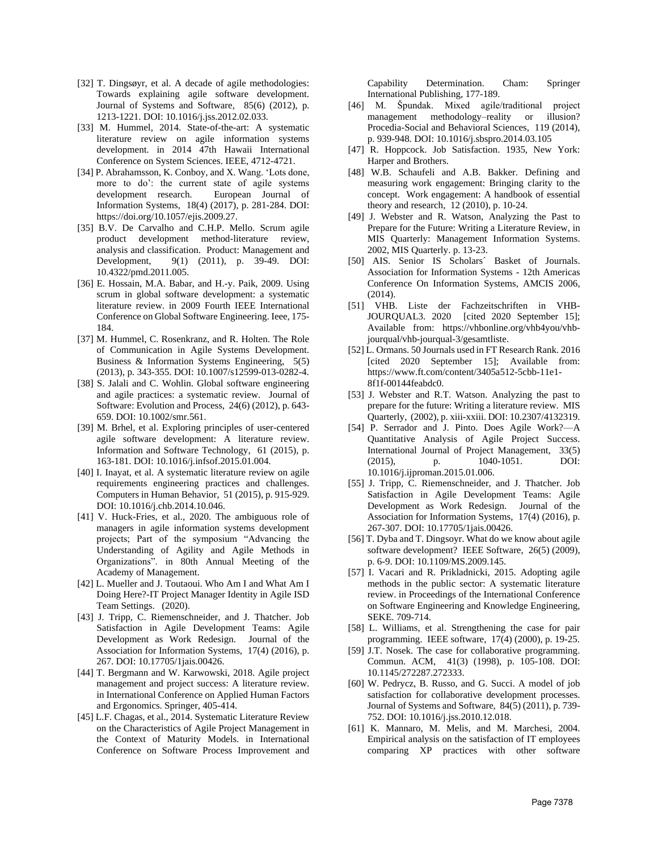- [32] T. Dingsøyr, et al. A decade of agile methodologies: Towards explaining agile software development. Journal of Systems and Software, 85(6) (2012), p. 1213-1221. DOI: 10.1016/j.jss.2012.02.033.
- [33] M. Hummel, 2014. State-of-the-art: A systematic literature review on agile information systems development. in 2014 47th Hawaii International Conference on System Sciences. IEEE, 4712-4721.
- [34] P. Abrahamsson, K. Conboy, and X. Wang. 'Lots done, more to do': the current state of agile systems development research. European Journal of Information Systems, 18(4) (2017), p. 281-284. DOI: [https://doi.org/10.1057/ejis.2009.27.](https://doi.org/10.1057/ejis.2009.27)
- [35] B.V. De Carvalho and C.H.P. Mello. Scrum agile product development method-literature review, analysis and classification. Product: Management and Development, 9(1) (2011), p. 39-49. DOI: 10.4322/pmd.2011.005.
- [36] E. Hossain, M.A. Babar, and H.-y. Paik, 2009. Using scrum in global software development: a systematic literature review. in 2009 Fourth IEEE International Conference on Global Software Engineering. Ieee, 175- 184.
- [37] M. Hummel, C. Rosenkranz, and R. Holten. The Role of Communication in Agile Systems Development. Business & Information Systems Engineering, 5(5) (2013), p. 343-355. DOI: 10.1007/s12599-013-0282-4.
- [38] S. Jalali and C. Wohlin. Global software engineering and agile practices: a systematic review. Journal of Software: Evolution and Process, 24(6) (2012), p. 643- 659. DOI: 10.1002/smr.561.
- [39] M. Brhel, et al. Exploring principles of user-centered agile software development: A literature review. Information and Software Technology, 61 (2015), p. 163-181. DOI: 10.1016/j.infsof.2015.01.004.
- [40] I. Inayat, et al. A systematic literature review on agile requirements engineering practices and challenges. Computers in Human Behavior, 51 (2015), p. 915-929. DOI: 10.1016/j.chb.2014.10.046.
- [41] V. Huck-Fries, et al., 2020. The ambiguous role of managers in agile information systems development projects; Part of the symposium "Advancing the Understanding of Agility and Agile Methods in Organizations". in 80th Annual Meeting of the Academy of Management.
- [42] L. Mueller and J. Toutaoui. Who Am I and What Am I Doing Here?-IT Project Manager Identity in Agile ISD Team Settings. (2020).
- [43] J. Tripp, C. Riemenschneider, and J. Thatcher. Job Satisfaction in Agile Development Teams: Agile Development as Work Redesign. Journal of the Association for Information Systems, 17(4) (2016), p. 267. DOI: 10.17705/1jais.00426.
- [44] T. Bergmann and W. Karwowski, 2018. Agile project management and project success: A literature review. in International Conference on Applied Human Factors and Ergonomics. Springer, 405-414.
- [45] L.F. Chagas, et al., 2014. Systematic Literature Review on the Characteristics of Agile Project Management in the Context of Maturity Models. in International Conference on Software Process Improvement and

Capability Determination. Cham: Springer International Publishing, 177-189.

- [46] M. Špundak. Mixed agile/traditional project management methodology–reality or illusion? Procedia-Social and Behavioral Sciences, 119 (2014), p. 939-948. DOI: 10.1016/j.sbspro.2014.03.105
- [47] R. Hoppcock. Job Satisfaction. 1935, New York: Harper and Brothers.
- [48] W.B. Schaufeli and A.B. Bakker. Defining and measuring work engagement: Bringing clarity to the concept. Work engagement: A handbook of essential theory and research, 12 (2010), p. 10-24.
- [49] J. Webster and R. Watson, Analyzing the Past to Prepare for the Future: Writing a Literature Review, in MIS Quarterly: Management Information Systems. 2002, MIS Quarterly. p. 13-23.
- [50] AIS. Senior IS Scholars´ Basket of Journals. Association for Information Systems - 12th Americas Conference On Information Systems, AMCIS 2006, (2014).
- [51] VHB. Liste der Fachzeitschriften in VHB-JOURQUAL3. 2020 [cited 2020 September 15]; Available from: [https://vhbonline.org/vhb4you/vhb](https://vhbonline.org/vhb4you/vhb-jourqual/vhb-jourqual-3/gesamtliste)[jourqual/vhb-jourqual-3/gesamtliste.](https://vhbonline.org/vhb4you/vhb-jourqual/vhb-jourqual-3/gesamtliste)
- [52] L. Ormans. 50 Journals used in FT Research Rank. 2016 [cited 2020 September 15]; Available from: [https://www.ft.com/content/3405a512-5cbb-11e1-](https://www.ft.com/content/3405a512-5cbb-11e1-8f1f-00144feabdc0) [8f1f-00144feabdc0.](https://www.ft.com/content/3405a512-5cbb-11e1-8f1f-00144feabdc0)
- [53] J. Webster and R.T. Watson. Analyzing the past to prepare for the future: Writing a literature review. MIS Quarterly, (2002), p. xiii-xxiii. DOI: 10.2307/4132319.
- [54] P. Serrador and J. Pinto. Does Agile Work?—A Quantitative Analysis of Agile Project Success. International Journal of Project Management, 33(5) (2015), p. 1040-1051. DOI: 10.1016/j.ijproman.2015.01.006.
- [55] J. Tripp, C. Riemenschneider, and J. Thatcher. Job Satisfaction in Agile Development Teams: Agile Development as Work Redesign. Journal of the Association for Information Systems, 17(4) (2016), p. 267-307. DOI: 10.17705/1jais.00426.
- [56] T. Dyba and T. Dingsoyr. What do we know about agile software development? IEEE Software, 26(5) (2009), p. 6-9. DOI: 10.1109/MS.2009.145.
- [57] I. Vacari and R. Prikladnicki, 2015. Adopting agile methods in the public sector: A systematic literature review. in Proceedings of the International Conference on Software Engineering and Knowledge Engineering, SEKE. 709-714.
- [58] L. Williams, et al. Strengthening the case for pair programming. IEEE software, 17(4) (2000), p. 19-25.
- [59] J.T. Nosek. The case for collaborative programming. Commun. ACM, 41(3) (1998), p. 105-108. DOI: 10.1145/272287.272333.
- [60] W. Pedrycz, B. Russo, and G. Succi. A model of job satisfaction for collaborative development processes. Journal of Systems and Software, 84(5) (2011), p. 739- 752. DOI: 10.1016/j.jss.2010.12.018.
- [61] K. Mannaro, M. Melis, and M. Marchesi, 2004. Empirical analysis on the satisfaction of IT employees comparing XP practices with other software